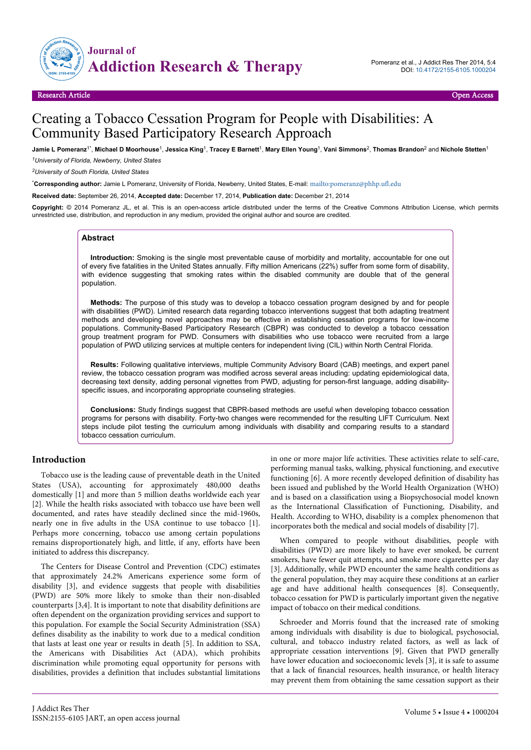



# Creating a Tobacco Cessation Program for People with Disabilities: A Community Based Participatory Research Approach

 $J$ amie L Pomeranz<sup>1\*</sup>, Michael D Moorhouse<sup>1</sup>, Jessica King<sup>1</sup>, Tracey E Barnett<sup>1</sup>, Mary Ellen Young<sup>1</sup>, Vani Simmons<sup>2</sup>, Thomas Brandon<sup>2</sup> and Nichole Stetten<sup>1</sup>

*<sup>1</sup>University of Florida, Newberry, United States*

*<sup>2</sup>University of South Florida, United States*

\***Corresponding author:** Jamie L Pomeranz, University of Florida, Newberry, United States, E-mail: <mailto:pomeranz@phhp.ufl.edu>

**Received date:** September 26, 2014, **Accepted date:** December 17, 2014, **Publication date:** December 21, 2014

**Copyright:** © 2014 Pomeranz JL, et al. This is an open-access article distributed under the terms of the Creative Commons Attribution License, which permits unrestricted use, distribution, and reproduction in any medium, provided the original author and source are credited.

#### **Abstract**

**Introduction:** Smoking is the single most preventable cause of morbidity and mortality, accountable for one out of every five fatalities in the United States annually. Fifty million Americans (22%) suffer from some form of disability, with evidence suggesting that smoking rates within the disabled community are double that of the general population.

**Methods:** The purpose of this study was to develop a tobacco cessation program designed by and for people with disabilities (PWD). Limited research data regarding tobacco interventions suggest that both adapting treatment methods and developing novel approaches may be effective in establishing cessation programs for low-income populations. Community-Based Participatory Research (CBPR) was conducted to develop a tobacco cessation group treatment program for PWD. Consumers with disabilities who use tobacco were recruited from a large population of PWD utilizing services at multiple centers for independent living (CIL) within North Central Florida.

**Results:** Following qualitative interviews, multiple Community Advisory Board (CAB) meetings, and expert panel review, the tobacco cessation program was modified across several areas including: updating epidemiological data, decreasing text density, adding personal vignettes from PWD, adjusting for person-first language, adding disabilityspecific issues, and incorporating appropriate counseling strategies.

**Conclusions:** Study findings suggest that CBPR-based methods are useful when developing tobacco cessation programs for persons with disability. Forty-two changes were recommended for the resulting LIFT Curriculum. Next steps include pilot testing the curriculum among individuals with disability and comparing results to a standard tobacco cessation curriculum.

#### **Introduction**

Tobacco use is the leading cause of preventable death in the United States (USA), accounting for approximately 480,000 deaths domestically [1] and more than 5 million deaths worldwide each year [2]. While the health risks associated with tobacco use have been well documented, and rates have steadily declined since the mid-1960s, nearly one in five adults in the USA continue to use tobacco [1]. Perhaps more concerning, tobacco use among certain populations remains disproportionately high, and little, if any, efforts have been initiated to address this discrepancy.

The Centers for Disease Control and Prevention (CDC) estimates that approximately 24.2% Americans experience some form of disability [3], and evidence suggests that people with disabilities (PWD) are 50% more likely to smoke than their non-disabled counterparts [3,4]. It is important to note that disability definitions are often dependent on the organization providing services and support to this population. For example the Social Security Administration (SSA) defines disability as the inability to work due to a medical condition that lasts at least one year or results in death [5]. In addition to SSA, the Americans with Disabilities Act (ADA), which prohibits discrimination while promoting equal opportunity for persons with disabilities, provides a definition that includes substantial limitations

in one or more major life activities. These activities relate to self-care, performing manual tasks, walking, physical functioning, and executive functioning [6]. A more recently developed definition of disability has been issued and published by the World Health Organization (WHO) and is based on a classification using a Biopsychosocial model known as the International Classification of Functioning, Disability, and Health. According to WHO, disability is a complex phenomenon that incorporates both the medical and social models of disability [7].

When compared to people without disabilities, people with disabilities (PWD) are more likely to have ever smoked, be current smokers, have fewer quit attempts, and smoke more cigarettes per day [3]. Additionally, while PWD encounter the same health conditions as the general population, they may acquire these conditions at an earlier age and have additional health consequences [8]. Consequently, tobacco cessation for PWD is particularly important given the negative impact of tobacco on their medical conditions.

Schroeder and Morris found that the increased rate of smoking among individuals with disability is due to biological, psychosocial, cultural, and tobacco industry related factors, as well as lack of appropriate cessation interventions [9]. Given that PWD generally have lower education and socioeconomic levels [3], it is safe to assume that a lack of financial resources, health insurance, or health literacy may prevent them from obtaining the same cessation support as their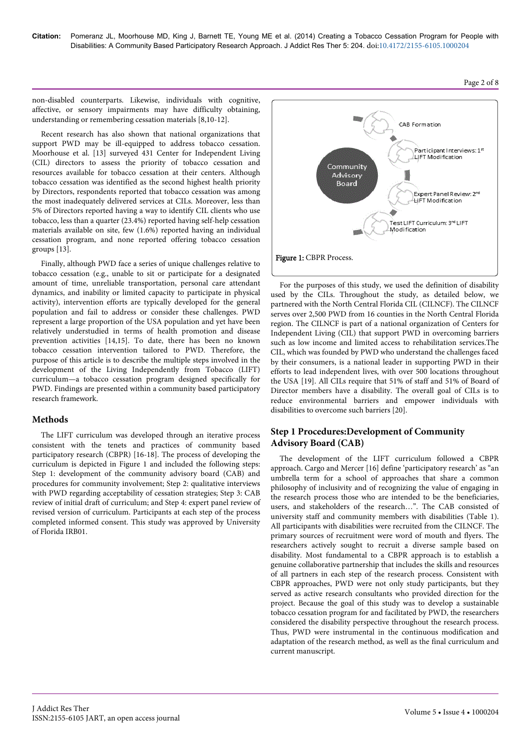non-disabled counterparts. Likewise, individuals with cognitive, affective, or sensory impairments may have difficulty obtaining, understanding or remembering cessation materials [8,10-12].

Recent research has also shown that national organizations that support PWD may be ill-equipped to address tobacco cessation. Moorhouse et al. [13] surveyed 431 Center for Independent Living (CIL) directors to assess the priority of tobacco cessation and resources available for tobacco cessation at their centers. Although tobacco cessation was identified as the second highest health priority by Directors, respondents reported that tobacco cessation was among the most inadequately delivered services at CILs. Moreover, less than 5% of Directors reported having a way to identify CIL clients who use tobacco, less than a quarter (23.4%) reported having self-help cessation materials available on site, few (1.6%) reported having an individual cessation program, and none reported offering tobacco cessation groups [13].

Finally, although PWD face a series of unique challenges relative to tobacco cessation (e.g., unable to sit or participate for a designated amount of time, unreliable transportation, personal care attendant dynamics, and inability or limited capacity to participate in physical activity), intervention efforts are typically developed for the general population and fail to address or consider these challenges. PWD represent a large proportion of the USA population and yet have been relatively understudied in terms of health promotion and disease prevention activities [14,15]. To date, there has been no known tobacco cessation intervention tailored to PWD. Therefore, the purpose of this article is to describe the multiple steps involved in the development of the Living Independently from Tobacco (LIFT) curriculum—a tobacco cessation program designed specifically for PWD. Findings are presented within a community based participatory research framework.

## **Methods**

The LIFT curriculum was developed through an iterative process consistent with the tenets and practices of community based participatory research (CBPR) [16-18]. The process of developing the curriculum is depicted in Figure 1 and included the following steps: Step 1: development of the community advisory board (CAB) and procedures for community involvement; Step 2: qualitative interviews with PWD regarding acceptability of cessation strategies; Step 3: CAB review of initial draft of curriculum; and Step 4: expert panel review of revised version of curriculum. Participants at each step of the process completed informed consent. This study was approved by University of Florida IRB01.



For the purposes of this study, we used the definition of disability used by the CILs. Throughout the study, as detailed below, we partnered with the North Central Florida CIL (CILNCF). The CILNCF serves over 2,500 PWD from 16 counties in the North Central Florida region. The CILNCF is part of a national organization of Centers for Independent Living (CIL) that support PWD in overcoming barriers such as low income and limited access to rehabilitation services.The CIL, which was founded by PWD who understand the challenges faced by their consumers, is a national leader in supporting PWD in their efforts to lead independent lives, with over 500 locations throughout the USA [19]. All CILs require that 51% of staff and 51% of Board of Director members have a disability. The overall goal of CILs is to reduce environmental barriers and empower individuals with disabilities to overcome such barriers [20].

# **Step 1 Procedures:Development of Community Advisory Board (CAB)**

The development of the LIFT curriculum followed a CBPR approach. Cargo and Mercer [16] define 'participatory research' as "an umbrella term for a school of approaches that share a common philosophy of inclusivity and of recognizing the value of engaging in the research process those who are intended to be the beneficiaries, users, and stakeholders of the research…". The CAB consisted of university staff and community members with disabilities (Table 1). All participants with disabilities were recruited from the CILNCF. The primary sources of recruitment were word of mouth and flyers. The researchers actively sought to recruit a diverse sample based on disability. Most fundamental to a CBPR approach is to establish a genuine collaborative partnership that includes the skills and resources of all partners in each step of the research process. Consistent with CBPR approaches, PWD were not only study participants, but they served as active research consultants who provided direction for the project. Because the goal of this study was to develop a sustainable tobacco cessation program for and facilitated by PWD, the researchers considered the disability perspective throughout the research process. Thus, PWD were instrumental in the continuous modification and adaptation of the research method, as well as the final curriculum and current manuscript.

Page 2 of 8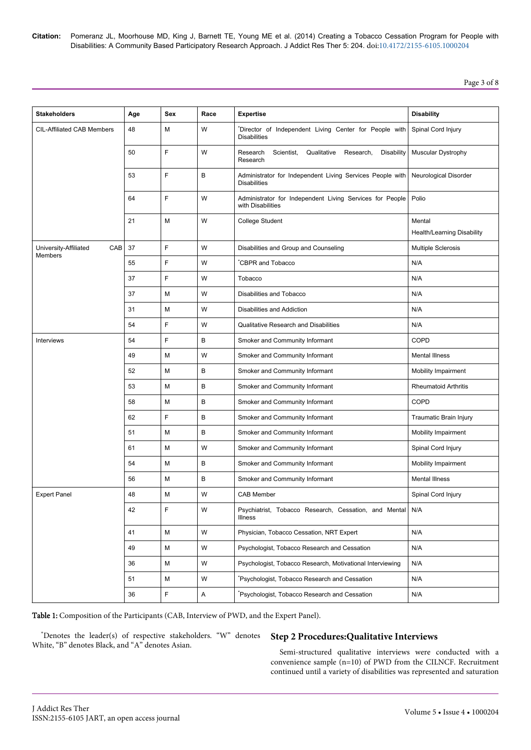Page 3 of 8

| <b>Stakeholders</b>          | Age                                                                                          | Sex | Race               | <b>Expertise</b>                                                                    | <b>Disability</b>                    |
|------------------------------|----------------------------------------------------------------------------------------------|-----|--------------------|-------------------------------------------------------------------------------------|--------------------------------------|
| CIL-Affiliated CAB Members   | W<br>48<br>М<br>Director of Independent Living Center for People with<br><b>Disabilities</b> |     | Spinal Cord Injury |                                                                                     |                                      |
|                              | 50                                                                                           | F   | W                  | Research<br>Scientist,<br>Qualitative<br>Research,<br><b>Disability</b><br>Research | <b>Muscular Dystrophy</b>            |
|                              | 53                                                                                           | F   | B                  | Administrator for Independent Living Services People with<br><b>Disabilities</b>    | Neurological Disorder                |
|                              | 64                                                                                           | F   | W                  | Administrator for Independent Living Services for People<br>with Disabilities       | Polio                                |
|                              | 21                                                                                           | M   | W                  | <b>College Student</b>                                                              | Mental<br>Health/Learning Disability |
| University-Affiliated<br>CAB | 37                                                                                           | F   | W                  | Disabilities and Group and Counseling                                               | Multiple Sclerosis                   |
| Members                      | 55                                                                                           | F   | W                  | *CBPR and Tobacco                                                                   | N/A                                  |
|                              | 37                                                                                           | F   | W                  | Tobacco                                                                             | N/A                                  |
|                              | 37                                                                                           | М   | W                  | Disabilities and Tobacco                                                            | N/A                                  |
|                              | 31                                                                                           | M   | W                  | Disabilities and Addiction                                                          | N/A                                  |
|                              | 54                                                                                           | F   | W                  | Qualitative Research and Disabilities                                               | N/A                                  |
| Interviews                   | 54                                                                                           | F   | B                  | Smoker and Community Informant                                                      | COPD                                 |
|                              | 49                                                                                           | М   | W                  | Smoker and Community Informant                                                      | <b>Mental Illness</b>                |
|                              | 52                                                                                           | M   | B                  | Smoker and Community Informant                                                      | Mobility Impairment                  |
|                              | 53                                                                                           | М   | B                  | Smoker and Community Informant                                                      | <b>Rheumatoid Arthritis</b>          |
|                              | 58                                                                                           | M   | B                  | Smoker and Community Informant                                                      | <b>COPD</b>                          |
|                              | 62                                                                                           | F   | B                  | Smoker and Community Informant                                                      | Traumatic Brain Injury               |
|                              | 51                                                                                           | М   | B                  | Smoker and Community Informant                                                      | Mobility Impairment                  |
|                              | 61                                                                                           | M   | W                  | Smoker and Community Informant                                                      | Spinal Cord Injury                   |
|                              | 54                                                                                           | M   | B                  | Smoker and Community Informant                                                      | Mobility Impairment                  |
|                              | 56                                                                                           | M   | B                  | Smoker and Community Informant                                                      | <b>Mental Illness</b>                |
| <b>Expert Panel</b>          | 48                                                                                           | M   | W                  | <b>CAB Member</b>                                                                   | Spinal Cord Injury                   |
|                              | 42                                                                                           | F   | W                  | Psychiatrist, Tobacco Research, Cessation, and Mental<br><b>Illness</b>             | N/A                                  |
|                              | 41                                                                                           | М   | W                  | Physician, Tobacco Cessation, NRT Expert                                            | N/A                                  |
|                              | 49                                                                                           | М   | W                  | Psychologist, Tobacco Research and Cessation                                        | N/A                                  |
|                              | 36                                                                                           | M   | ${\sf W}$          | Psychologist, Tobacco Research, Motivational Interviewing                           | N/A                                  |
|                              | 51                                                                                           | M   | W                  | *Psychologist, Tobacco Research and Cessation                                       | N/A                                  |
|                              | 36                                                                                           | F   | A                  | *Psychologist, Tobacco Research and Cessation                                       | N/A                                  |

Table 1: Composition of the Participants (CAB, Interview of PWD, and the Expert Panel).

\*Denotes the leader(s) of respective stakeholders. "W" denotes White, "B" denotes Black, and "A" denotes Asian.

## **Step 2 Procedures:Qualitative Interviews**

Semi-structured qualitative interviews were conducted with a convenience sample (n=10) of PWD from the CILNCF. Recruitment continued until a variety of disabilities was represented and saturation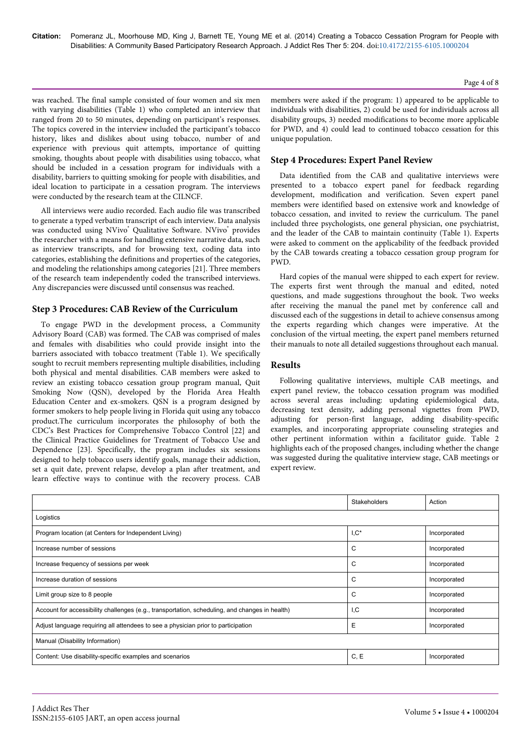was reached. The final sample consisted of four women and six men with varying disabilities (Table 1) who completed an interview that ranged from 20 to 50 minutes, depending on participant's responses. The topics covered in the interview included the participant's tobacco history, likes and dislikes about using tobacco, number of and experience with previous quit attempts, importance of quitting smoking, thoughts about people with disabilities using tobacco, what should be included in a cessation program for individuals with a disability, barriers to quitting smoking for people with disabilities, and ideal location to participate in a cessation program. The interviews were conducted by the research team at the CILNCF.

All interviews were audio recorded. Each audio file was transcribed to generate a typed verbatim transcript of each interview. Data analysis was conducted using NVivo<sup>®</sup> Qualitative Software. NVivo<sup>®</sup> provides the researcher with a means for handling extensive narrative data, such as interview transcripts, and for browsing text, coding data into categories, establishing the definitions and properties of the categories, and modeling the relationships among categories [21]. Three members of the research team independently coded the transcribed interviews. Any discrepancies were discussed until consensus was reached.

## **Step 3 Procedures: CAB Review of the Curriculum**

To engage PWD in the development process, a Community Advisory Board (CAB) was formed. The CAB was comprised of males and females with disabilities who could provide insight into the barriers associated with tobacco treatment (Table 1). We specifically sought to recruit members representing multiple disabilities, including both physical and mental disabilities. CAB members were asked to review an existing tobacco cessation group program manual, Quit Smoking Now (QSN), developed by the Florida Area Health Education Center and ex-smokers. QSN is a program designed by former smokers to help people living in Florida quit using any tobacco product.The curriculum incorporates the philosophy of both the CDC's Best Practices for Comprehensive Tobacco Control [22] and the Clinical Practice Guidelines for Treatment of Tobacco Use and Dependence [23]. Specifically, the program includes six sessions designed to help tobacco users identify goals, manage their addiction, set a quit date, prevent relapse, develop a plan after treatment, and learn effective ways to continue with the recovery process. CAB

members were asked if the program: 1) appeared to be applicable to individuals with disabilities, 2) could be used for individuals across all disability groups, 3) needed modifications to become more applicable for PWD, and 4) could lead to continued tobacco cessation for this unique population.

#### **Step 4 Procedures: Expert Panel Review**

Data identified from the CAB and qualitative interviews were presented to a tobacco expert panel for feedback regarding development, modification and verification. Seven expert panel members were identified based on extensive work and knowledge of tobacco cessation, and invited to review the curriculum. The panel included three psychologists, one general physician, one psychiatrist, and the leader of the CAB to maintain continuity (Table 1). Experts were asked to comment on the applicability of the feedback provided by the CAB towards creating a tobacco cessation group program for PWD.

Hard copies of the manual were shipped to each expert for review. The experts first went through the manual and edited, noted questions, and made suggestions throughout the book. Two weeks after receiving the manual the panel met by conference call and discussed each of the suggestions in detail to achieve consensus among the experts regarding which changes were imperative. At the conclusion of the virtual meeting, the expert panel members returned their manuals to note all detailed suggestions throughout each manual.

#### **Results**

Following qualitative interviews, multiple CAB meetings, and expert panel review, the tobacco cessation program was modified across several areas including: updating epidemiological data, decreasing text density, adding personal vignettes from PWD, adjusting for person-first language, adding disability-specific examples, and incorporating appropriate counseling strategies and other pertinent information within a facilitator guide. Table 2 highlights each of the proposed changes, including whether the change was suggested during the qualitative interview stage, CAB meetings or expert review.

|                                                                                                | <b>Stakeholders</b> | Action       |  |  |  |
|------------------------------------------------------------------------------------------------|---------------------|--------------|--|--|--|
| Logistics                                                                                      |                     |              |  |  |  |
| Program location (at Centers for Independent Living)                                           | $I, C^*$            | Incorporated |  |  |  |
| Increase number of sessions                                                                    | C                   | Incorporated |  |  |  |
| Increase frequency of sessions per week                                                        | C                   | Incorporated |  |  |  |
| Increase duration of sessions                                                                  | C                   | Incorporated |  |  |  |
| Limit group size to 8 people                                                                   | C                   | Incorporated |  |  |  |
| Account for accessibility challenges (e.g., transportation, scheduling, and changes in health) | I.C                 | Incorporated |  |  |  |
| Adjust language requiring all attendees to see a physician prior to participation              | Е                   | Incorporated |  |  |  |
| Manual (Disability Information)                                                                |                     |              |  |  |  |
| Content: Use disability-specific examples and scenarios                                        | C, E                | Incorporated |  |  |  |

Page 4 of 8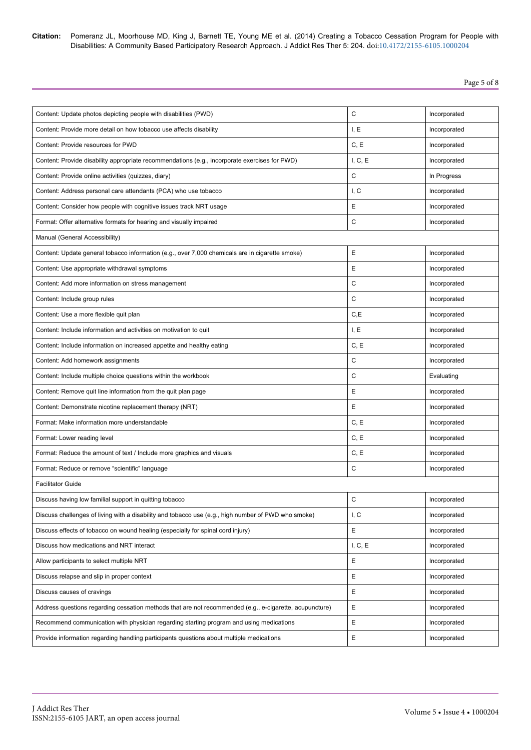**Citation:** Pomeranz JL, Moorhouse MD, King J, Barnett TE, Young ME et al. (2014) Creating a Tobacco Cessation Program for People with Disabilities: A Community Based Participatory Research Approach. J Addict Res Ther 5: 204. doi:10.4172/2155-6105.1000204

Page 5 of 8

| Content: Update photos depicting people with disabilities (PWD)                                         | C       | Incorporated |  |  |  |  |
|---------------------------------------------------------------------------------------------------------|---------|--------------|--|--|--|--|
| Content: Provide more detail on how tobacco use affects disability                                      | I, E    | Incorporated |  |  |  |  |
| Content: Provide resources for PWD                                                                      | C, E    | Incorporated |  |  |  |  |
| Content: Provide disability appropriate recommendations (e.g., incorporate exercises for PWD)           | I, C, E | Incorporated |  |  |  |  |
| Content: Provide online activities (quizzes, diary)                                                     | C       | In Progress  |  |  |  |  |
| Content: Address personal care attendants (PCA) who use tobacco                                         | I, C    | Incorporated |  |  |  |  |
| Content: Consider how people with cognitive issues track NRT usage                                      | E       | Incorporated |  |  |  |  |
| Format: Offer alternative formats for hearing and visually impaired                                     | C       | Incorporated |  |  |  |  |
| Manual (General Accessibility)                                                                          |         |              |  |  |  |  |
| Content: Update general tobacco information (e.g., over 7,000 chemicals are in cigarette smoke)         | Е       | Incorporated |  |  |  |  |
| Content: Use appropriate withdrawal symptoms                                                            | Е       | Incorporated |  |  |  |  |
| Content: Add more information on stress management                                                      | C       | Incorporated |  |  |  |  |
| Content: Include group rules                                                                            | C       | Incorporated |  |  |  |  |
| Content: Use a more flexible quit plan                                                                  | C,E     | Incorporated |  |  |  |  |
| Content: Include information and activities on motivation to quit                                       | I, E    | Incorporated |  |  |  |  |
| Content: Include information on increased appetite and healthy eating                                   | C, E    | Incorporated |  |  |  |  |
| Content: Add homework assignments                                                                       | C       | Incorporated |  |  |  |  |
| Content: Include multiple choice questions within the workbook                                          | C       | Evaluating   |  |  |  |  |
| Content: Remove quit line information from the quit plan page                                           | E       | Incorporated |  |  |  |  |
| Content: Demonstrate nicotine replacement therapy (NRT)                                                 | E       | Incorporated |  |  |  |  |
| Format: Make information more understandable                                                            | C, E    | Incorporated |  |  |  |  |
| Format: Lower reading level                                                                             | C, E    | Incorporated |  |  |  |  |
| Format: Reduce the amount of text / Include more graphics and visuals                                   | C, E    | Incorporated |  |  |  |  |
| Format: Reduce or remove "scientific" language                                                          | C       | Incorporated |  |  |  |  |
| <b>Facilitator Guide</b>                                                                                |         |              |  |  |  |  |
| Discuss having low familial support in quitting tobacco                                                 | C       | Incorporated |  |  |  |  |
| Discuss challenges of living with a disability and tobacco use (e.g., high number of PWD who smoke)     | I, C    | Incorporated |  |  |  |  |
| Discuss effects of tobacco on wound healing (especially for spinal cord injury)                         | E       | Incorporated |  |  |  |  |
| Discuss how medications and NRT interact                                                                | I, C, E | Incorporated |  |  |  |  |
| Allow participants to select multiple NRT                                                               | E       | Incorporated |  |  |  |  |
| Discuss relapse and slip in proper context                                                              | E       | Incorporated |  |  |  |  |
| Discuss causes of cravings                                                                              | E       | Incorporated |  |  |  |  |
| Address questions regarding cessation methods that are not recommended (e.g., e-cigarette, acupuncture) | E       | Incorporated |  |  |  |  |
| Recommend communication with physician regarding starting program and using medications                 | E       | Incorporated |  |  |  |  |
| Provide information regarding handling participants questions about multiple medications                | E       | Incorporated |  |  |  |  |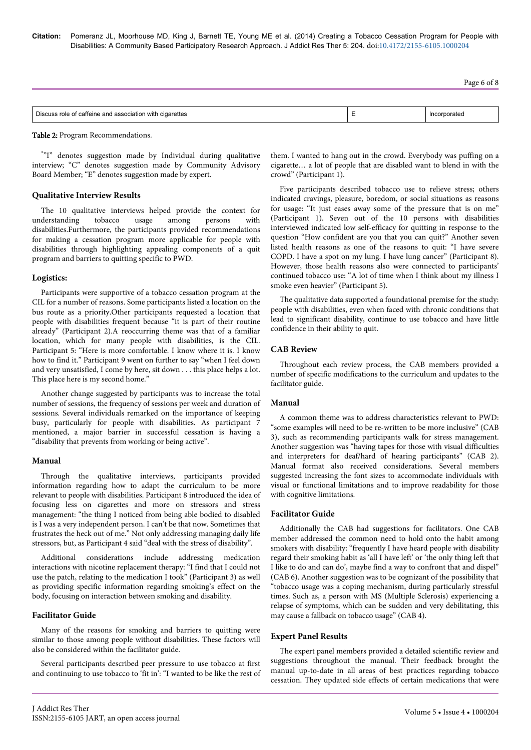Page 6 of 8

| Discu<br>ociation with<br>cigarettes<br>catteine<br>` roi⊾ | - |  |
|------------------------------------------------------------|---|--|

Table 2: Program Recommendations.

\* "I" denotes suggestion made by Individual during qualitative interview; "C" denotes suggestion made by Community Advisory Board Member; "E" denotes suggestion made by expert.

#### **Qualitative Interview Results**

The 10 qualitative interviews helped provide the context for understanding tobacco usage among persons with disabilities.Furthermore, the participants provided recommendations for making a cessation program more applicable for people with disabilities through highlighting appealing components of a quit program and barriers to quitting specific to PWD.

#### **Logistics:**

Participants were supportive of a tobacco cessation program at the CIL for a number of reasons. Some participants listed a location on the bus route as a priority.Other participants requested a location that people with disabilities frequent because "it is part of their routine already" (Participant 2).A reoccurring theme was that of a familiar location, which for many people with disabilities, is the CIL. Participant 5: "Here is more comfortable. I know where it is. I know how to find it." Participant 9 went on further to say "when I feel down and very unsatisfied, I come by here, sit down . . . this place helps a lot. This place here is my second home."

Another change suggested by participants was to increase the total number of sessions, the frequency of sessions per week and duration of sessions. Several individuals remarked on the importance of keeping busy, particularly for people with disabilities. As participant 7 mentioned, a major barrier in successful cessation is having a "disability that prevents from working or being active".

## **Manual**

Through the qualitative interviews, participants provided information regarding how to adapt the curriculum to be more relevant to people with disabilities. Participant 8 introduced the idea of focusing less on cigarettes and more on stressors and stress management: "the thing I noticed from being able bodied to disabled is I was a very independent person. I can't be that now. Sometimes that frustrates the heck out of me." Not only addressing managing daily life stressors, but, as Participant 4 said "deal with the stress of disability".

Additional considerations include addressing medication interactions with nicotine replacement therapy: "I find that I could not use the patch, relating to the medication I took" (Participant 3) as well as providing specific information regarding smoking's effect on the body, focusing on interaction between smoking and disability.

## **Facilitator Guide**

Many of the reasons for smoking and barriers to quitting were similar to those among people without disabilities. These factors will also be considered within the facilitator guide.

Several participants described peer pressure to use tobacco at first and continuing to use tobacco to 'fit in': "I wanted to be like the rest of them. I wanted to hang out in the crowd. Everybody was puffing on a cigarette… a lot of people that are disabled want to blend in with the crowd" (Participant 1).

Five participants described tobacco use to relieve stress; others indicated cravings, pleasure, boredom, or social situations as reasons for usage: "It just eases away some of the pressure that is on me" (Participant 1). Seven out of the 10 persons with disabilities interviewed indicated low self-efficacy for quitting in response to the question "How confident are you that you can quit?" Another seven listed health reasons as one of the reasons to quit: "I have severe COPD. I have a spot on my lung. I have lung cancer" (Participant 8). However, those health reasons also were connected to participants' continued tobacco use: "A lot of time when I think about my illness I smoke even heavier" (Participant 5).

The qualitative data supported a foundational premise for the study: people with disabilities, even when faced with chronic conditions that lead to significant disability, continue to use tobacco and have little confidence in their ability to quit.

## **CAB Review**

Throughout each review process, the CAB members provided a number of specific modifications to the curriculum and updates to the facilitator guide.

## **Manual**

A common theme was to address characteristics relevant to PWD: "some examples will need to be re-written to be more inclusive" (CAB 3), such as recommending participants walk for stress management. Another suggestion was "having tapes for those with visual difficulties and interpreters for deaf/hard of hearing participants" (CAB 2). Manual format also received considerations. Several members suggested increasing the font sizes to accommodate individuals with visual or functional limitations and to improve readability for those with cognitive limitations.

## **Facilitator Guide**

Additionally the CAB had suggestions for facilitators. One CAB member addressed the common need to hold onto the habit among smokers with disability: "frequently I have heard people with disability regard their smoking habit as 'all I have left' or 'the only thing left that I like to do and can do', maybe find a way to confront that and dispel" (CAB 6). Another suggestion was to be cognizant of the possibility that "tobacco usage was a coping mechanism, during particularly stressful times. Such as, a person with MS (Multiple Sclerosis) experiencing a relapse of symptoms, which can be sudden and very debilitating, this may cause a fallback on tobacco usage" (CAB 4).

## **Expert Panel Results**

The expert panel members provided a detailed scientific review and suggestions throughout the manual. Their feedback brought the manual up-to-date in all areas of best practices regarding tobacco cessation. They updated side effects of certain medications that were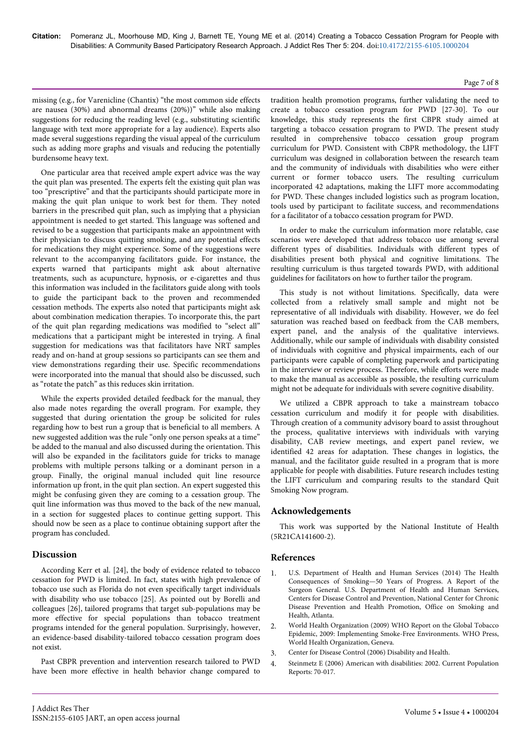#### Page 7 of 8

missing (e.g., for Varenicline (Chantix) "the most common side effects are nausea (30%) and abnormal dreams (20%))" while also making suggestions for reducing the reading level (e.g., substituting scientific language with text more appropriate for a lay audience). Experts also made several suggestions regarding the visual appeal of the curriculum such as adding more graphs and visuals and reducing the potentially burdensome heavy text.

One particular area that received ample expert advice was the way the quit plan was presented. The experts felt the existing quit plan was too "prescriptive" and that the participants should participate more in making the quit plan unique to work best for them. They noted barriers in the prescribed quit plan, such as implying that a physician appointment is needed to get started. This language was softened and revised to be a suggestion that participants make an appointment with their physician to discuss quitting smoking, and any potential effects for medications they might experience. Some of the suggestions were relevant to the accompanying facilitators guide. For instance, the experts warned that participants might ask about alternative treatments, such as acupuncture, hypnosis, or e-cigarettes and thus this information was included in the facilitators guide along with tools to guide the participant back to the proven and recommended cessation methods. The experts also noted that participants might ask about combination medication therapies. To incorporate this, the part of the quit plan regarding medications was modified to "select all" medications that a participant might be interested in trying. A final suggestion for medications was that facilitators have NRT samples ready and on-hand at group sessions so participants can see them and view demonstrations regarding their use. Specific recommendations were incorporated into the manual that should also be discussed, such as "rotate the patch" as this reduces skin irritation.

While the experts provided detailed feedback for the manual, they also made notes regarding the overall program. For example, they suggested that during orientation the group be solicited for rules regarding how to best run a group that is beneficial to all members. A new suggested addition was the rule "only one person speaks at a time" be added to the manual and also discussed during the orientation. This will also be expanded in the facilitators guide for tricks to manage problems with multiple persons talking or a dominant person in a group. Finally, the original manual included quit line resource information up front, in the quit plan section. An expert suggested this might be confusing given they are coming to a cessation group. The quit line information was thus moved to the back of the new manual, in a section for suggested places to continue getting support. This should now be seen as a place to continue obtaining support after the program has concluded.

## **Discussion**

According Kerr et al. [24], the body of evidence related to tobacco cessation for PWD is limited. In fact, states with high prevalence of tobacco use such as Florida do not even specifically target individuals with disability who use tobacco [25]. As pointed out by Borelli and colleagues [26], tailored programs that target sub-populations may be more effective for special populations than tobacco treatment programs intended for the general population. Surprisingly, however, an evidence-based disability-tailored tobacco cessation program does not exist.

Past CBPR prevention and intervention research tailored to PWD have been more effective in health behavior change compared to tradition health promotion programs, further validating the need to create a tobacco cessation program for PWD [27-30]. To our knowledge, this study represents the first CBPR study aimed at targeting a tobacco cessation program to PWD. The present study resulted in comprehensive tobacco cessation group program curriculum for PWD. Consistent with CBPR methodology, the LIFT curriculum was designed in collaboration between the research team and the community of individuals with disabilities who were either current or former tobacco users. The resulting curriculum incorporated 42 adaptations, making the LIFT more accommodating for PWD. These changes included logistics such as program location, tools used by participant to facilitate success, and recommendations for a facilitator of a tobacco cessation program for PWD.

In order to make the curriculum information more relatable, case scenarios were developed that address tobacco use among several different types of disabilities. Individuals with different types of disabilities present both physical and cognitive limitations. The resulting curriculum is thus targeted towards PWD, with additional guidelines for facilitators on how to further tailor the program.

This study is not without limitations. Specifically, data were collected from a relatively small sample and might not be representative of all individuals with disability. However, we do feel saturation was reached based on feedback from the CAB members, expert panel, and the analysis of the qualitative interviews. Additionally, while our sample of individuals with disability consisted of individuals with cognitive and physical impairments, each of our participants were capable of completing paperwork and participating in the interview or review process. Therefore, while efforts were made to make the manual as accessible as possible, the resulting curriculum might not be adequate for individuals with severe cognitive disability.

We utilized a CBPR approach to take a mainstream tobacco cessation curriculum and modify it for people with disabilities. Through creation of a community advisory board to assist throughout the process, qualitative interviews with individuals with varying disability, CAB review meetings, and expert panel review, we identified 42 areas for adaptation. These changes in logistics, the manual, and the facilitator guide resulted in a program that is more applicable for people with disabilities. Future research includes testing the LIFT curriculum and comparing results to the standard Quit Smoking Now program.

## **Acknowledgements**

This work was supported by the National Institute of Health (5R21CA141600-2).

## **References**

- 1. [U.S. Department of Health and Human Services \(2014\) The Health](http://ash.org/wp-content/uploads/2014/01/full-report.pdf) [Consequences of Smoking—50 Years of Progress. A Report of the](http://ash.org/wp-content/uploads/2014/01/full-report.pdf) [Surgeon General. U.S. Department of Health and Human Services,](http://ash.org/wp-content/uploads/2014/01/full-report.pdf) [Centers for Disease Control and Prevention, National Center for Chronic](http://ash.org/wp-content/uploads/2014/01/full-report.pdf) [Disease Prevention and Health Promotion, Office on Smoking and](http://ash.org/wp-content/uploads/2014/01/full-report.pdf) [Health, Atlanta.](http://ash.org/wp-content/uploads/2014/01/full-report.pdf)
- 2. [World Health Organization \(2009\) WHO Report on the Global Tobacco](http://www.who.int/tobacco/mpower/2009/en/) [Epidemic, 2009: Implementing Smoke-Free Environments. WHO Press,](http://www.who.int/tobacco/mpower/2009/en/) [World Health Organization, Geneva.](http://www.who.int/tobacco/mpower/2009/en/)
- 3. [Center for Disease Control \(2006\) Disability and Health.](http://www.cdc.gov/ncbddd/jump/disabilities.html)
- 4. Steinmetz E (2006) American with disabilities: 2002. Current Population Reports: 70-017.